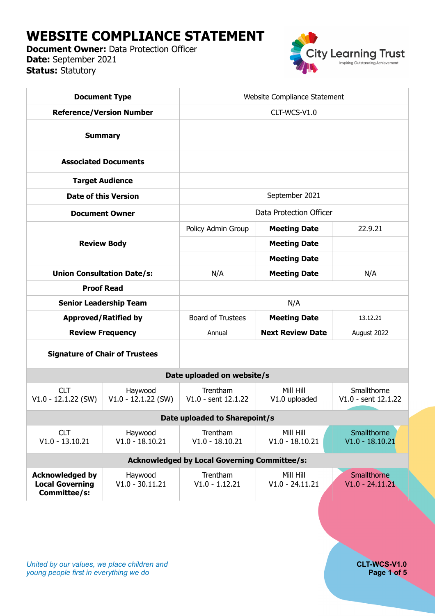# **WEBSITE COMPLIANCE STATEMENT**

**Document Owner: Data Protection Officer Date:** September 2021 **Status:** Statutory



| <b>Document Type</b>                                             |                                  | Website Compliance Statement      |                                |                                    |  |  |  |  |  |
|------------------------------------------------------------------|----------------------------------|-----------------------------------|--------------------------------|------------------------------------|--|--|--|--|--|
| <b>Reference/Version Number</b>                                  |                                  | CLT-WCS-V1.0                      |                                |                                    |  |  |  |  |  |
| <b>Summary</b>                                                   |                                  |                                   |                                |                                    |  |  |  |  |  |
| <b>Associated Documents</b>                                      |                                  |                                   |                                |                                    |  |  |  |  |  |
| <b>Target Audience</b>                                           |                                  |                                   |                                |                                    |  |  |  |  |  |
| <b>Date of this Version</b>                                      |                                  | September 2021                    |                                |                                    |  |  |  |  |  |
| <b>Document Owner</b>                                            |                                  | Data Protection Officer           |                                |                                    |  |  |  |  |  |
| <b>Review Body</b>                                               |                                  | Policy Admin Group                | <b>Meeting Date</b>            | 22.9.21                            |  |  |  |  |  |
|                                                                  |                                  |                                   | <b>Meeting Date</b>            |                                    |  |  |  |  |  |
|                                                                  |                                  |                                   | <b>Meeting Date</b>            |                                    |  |  |  |  |  |
| <b>Union Consultation Date/s:</b>                                |                                  | N/A                               | <b>Meeting Date</b>            | N/A                                |  |  |  |  |  |
| <b>Proof Read</b>                                                |                                  |                                   |                                |                                    |  |  |  |  |  |
| <b>Senior Leadership Team</b>                                    |                                  | N/A                               |                                |                                    |  |  |  |  |  |
|                                                                  | <b>Approved/Ratified by</b>      | <b>Board of Trustees</b>          | <b>Meeting Date</b>            | 13.12.21                           |  |  |  |  |  |
| <b>Review Frequency</b>                                          |                                  | Annual                            | <b>Next Review Date</b>        | August 2022                        |  |  |  |  |  |
| <b>Signature of Chair of Trustees</b>                            |                                  |                                   |                                |                                    |  |  |  |  |  |
|                                                                  |                                  | Date uploaded on website/s        |                                |                                    |  |  |  |  |  |
| <b>CLT</b><br>$V1.0 - 12.1.22$ (SW)                              | Haywood<br>$V1.0 - 12.1.22$ (SW) | Trentham<br>$V1.0 - sent 12.1.22$ | Mill Hill<br>V1.0 uploaded     | Smallthorne<br>V1.0 - sent 12.1.22 |  |  |  |  |  |
| Date uploaded to Sharepoint/s                                    |                                  |                                   |                                |                                    |  |  |  |  |  |
| <b>CLT</b><br>$V1.0 - 13.10.21$                                  | Haywood<br>$V1.0 - 18.10.21$     | Trentham<br>$V1.0 - 18.10.21$     | Mill Hill<br>$V1.0 - 18.10.21$ | Smallthorne<br>$V1.0 - 18.10.21$   |  |  |  |  |  |
| <b>Acknowledged by Local Governing Committee/s:</b>              |                                  |                                   |                                |                                    |  |  |  |  |  |
| <b>Acknowledged by</b><br><b>Local Governing</b><br>Committee/s: | Haywood<br>$V1.0 - 30.11.21$     | Trentham<br>$V1.0 - 1.12.21$      | Mill Hill<br>$V1.0 - 24.11.21$ | Smallthorne<br>$V1.0 - 24.11.21$   |  |  |  |  |  |
|                                                                  |                                  |                                   |                                |                                    |  |  |  |  |  |
|                                                                  |                                  |                                   |                                |                                    |  |  |  |  |  |
|                                                                  |                                  |                                   |                                |                                    |  |  |  |  |  |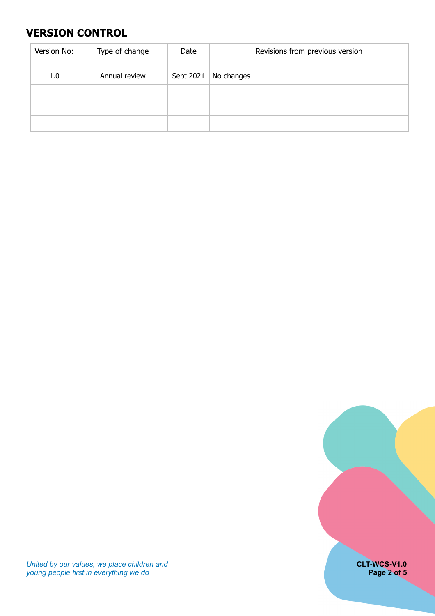# <span id="page-1-0"></span>**VERSION CONTROL**

| Version No: | Type of change | Date      | Revisions from previous version |
|-------------|----------------|-----------|---------------------------------|
| 1.0         | Annual review  | Sept 2021 | No changes                      |
|             |                |           |                                 |
|             |                |           |                                 |
|             |                |           |                                 |



*United by our values, we place children and* **CLT-WCS-V1.0** *young people first in everything we do* **Page 2 of 5**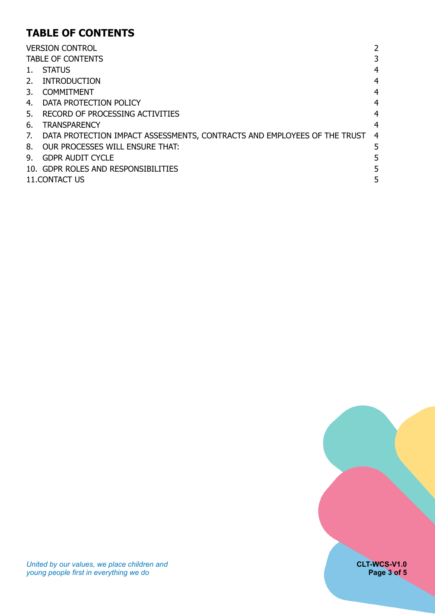# <span id="page-2-0"></span>**TABLE OF CONTENTS**

|              | <b>VERSION CONTROL</b>                                                        | 2              |  |
|--------------|-------------------------------------------------------------------------------|----------------|--|
|              | <b>TABLE OF CONTENTS</b>                                                      | 3              |  |
| 1.           | <b>STATUS</b>                                                                 | 4              |  |
| 2.           | INTRODUCTION                                                                  | 4              |  |
| $\mathbf{3}$ | <b>COMMITMENT</b>                                                             | 4              |  |
|              | 4. DATA PROTECTION POLICY                                                     | $\overline{4}$ |  |
|              | 5. RECORD OF PROCESSING ACTIVITIES                                            | $\overline{4}$ |  |
| 6.           | <b>TRANSPARENCY</b>                                                           | 4              |  |
|              | 7. DATA PROTECTION IMPACT ASSESSMENTS, CONTRACTS AND EMPLOYEES OF THE TRUST 4 |                |  |
|              | 8. OUR PROCESSES WILL ENSURE THAT:                                            | 5              |  |
| 9.           | <b>GDPR AUDIT CYCLE</b>                                                       |                |  |
|              | 10. GDPR ROLES AND RESPONSIBILITIES                                           | 5              |  |
|              | 11. CONTACT US                                                                |                |  |

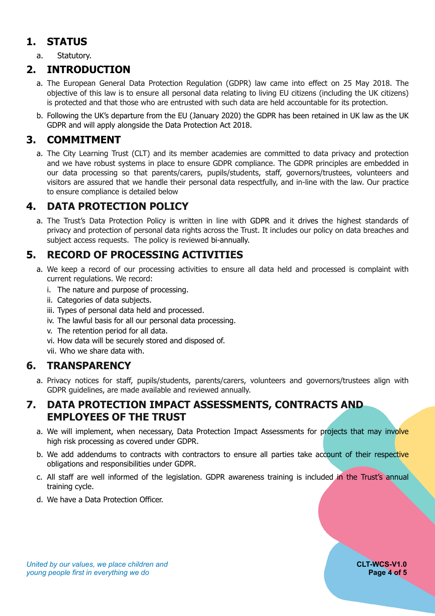# **1. STATUS**

<span id="page-3-1"></span><span id="page-3-0"></span>a. Statutory.

# **2. INTRODUCTION**

- a. The European General Data Protection Regulation (GDPR) law came into effect on 25 May 2018. The objective of this law is to ensure all personal data relating to living EU citizens (including the UK citizens) is protected and that those who are entrusted with such data are held accountable for its protection.
- b. Following the UK's departure from the EU (January 2020) the GDPR has been retained in UK law as the UK GDPR and will apply alongside the Data Protection Act 2018.

# **3. COMMITMENT**

<span id="page-3-2"></span>a. The City Learning Trust (CLT) and its member academies are committed to data privacy and protection and we have robust systems in place to ensure GDPR compliance. The GDPR principles are embedded in our data processing so that parents/carers, pupils/students, staff, governors/trustees, volunteers and visitors are assured that we handle their personal data respectfully, and in-line with the law. Our practice to ensure compliance is detailed below

# **4. DATA PROTECTION POLICY**

<span id="page-3-3"></span>a. The Trust's Data Protection Policy is written in line with GDPR and it drives the highest standards of privacy and protection of personal data rights across the Trust. It includes our policy on data breaches and subject access requests. The policy is reviewed bi-annually.

### **5. RECORD OF PROCESSING ACTIVITIES**

- <span id="page-3-4"></span>a. We keep a record of our processing activities to ensure all data held and processed is complaint with current regulations. We record:
	- i. The nature and purpose of processing.
	- ii. Categories of data subjects.
	- iii. Types of personal data held and processed.
	- iv. The lawful basis for all our personal data processing.
	- v. The retention period for all data.
	- vi. How data will be securely stored and disposed of.

<span id="page-3-5"></span>vii. Who we share data with.

### **6. TRANSPARENCY**

a. Privacy notices for staff, pupils/students, parents/carers, volunteers and governors/trustees align with GDPR guidelines, are made available and reviewed annually.

### <span id="page-3-6"></span>**7. DATA PROTECTION IMPACT ASSESSMENTS, CONTRACTS AND EMPLOYEES OF THE TRUST**

- a. We will implement, when necessary, Data Protection Impact Assessments for projects that may involve high risk processing as covered under GDPR.
- b. We add addendums to contracts with contractors to ensure all parties take account of their respective obligations and responsibilities under GDPR.
- c. All staff are well informed of the legislation. GDPR awareness training is included in the Trust's annual training cycle.
- d. We have a Data Protection Officer.